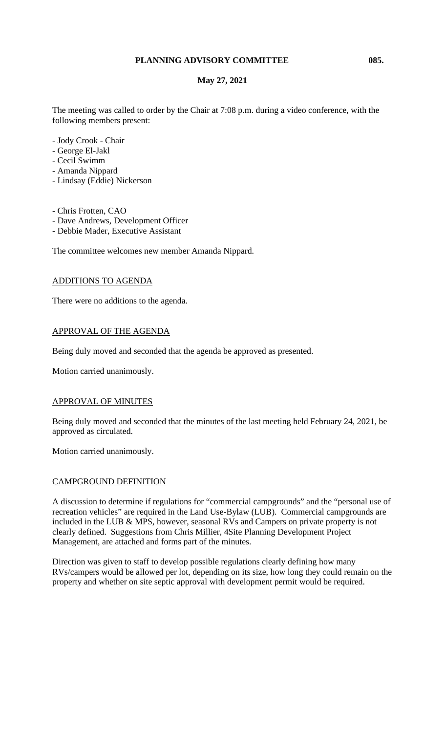#### **PLANNING ADVISORY COMMITTEE 085.**

### **May 27, 2021**

The meeting was called to order by the Chair at 7:08 p.m. during a video conference, with the following members present:

- Jody Crook Chair
- George El-Jakl
- Cecil Swimm
- Amanda Nippard
- Lindsay (Eddie) Nickerson
- Chris Frotten, CAO
- Dave Andrews, Development Officer
- Debbie Mader, Executive Assistant

The committee welcomes new member Amanda Nippard.

#### ADDITIONS TO AGENDA

There were no additions to the agenda.

### APPROVAL OF THE AGENDA

Being duly moved and seconded that the agenda be approved as presented.

Motion carried unanimously.

#### APPROVAL OF MINUTES

Being duly moved and seconded that the minutes of the last meeting held February 24, 2021, be approved as circulated.

Motion carried unanimously.

#### CAMPGROUND DEFINITION

A discussion to determine if regulations for "commercial campgrounds" and the "personal use of recreation vehicles" are required in the Land Use-Bylaw (LUB). Commercial campgrounds are included in the LUB & MPS, however, seasonal RVs and Campers on private property is not clearly defined. Suggestions from Chris Millier, 4Site Planning Development Project Management, are attached and forms part of the minutes.

Direction was given to staff to develop possible regulations clearly defining how many RVs/campers would be allowed per lot, depending on its size, how long they could remain on the property and whether on site septic approval with development permit would be required.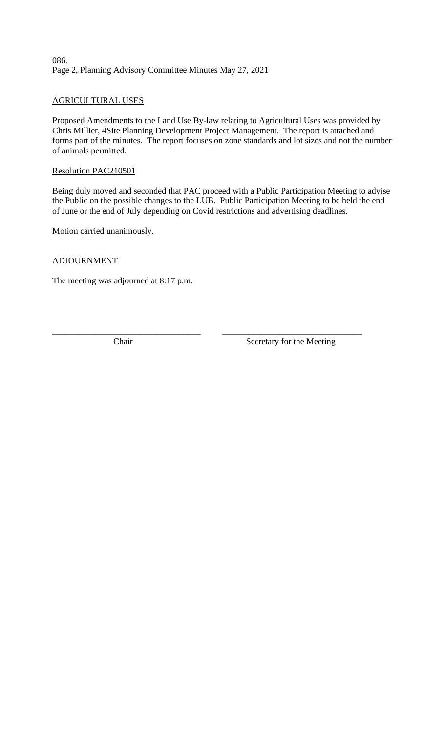### 086. Page 2, Planning Advisory Committee Minutes May 27, 2021

### AGRICULTURAL USES

Proposed Amendments to the Land Use By-law relating to Agricultural Uses was provided by Chris Millier, 4Site Planning Development Project Management. The report is attached and forms part of the minutes. The report focuses on zone standards and lot sizes and not the number of animals permitted.

#### Resolution PAC210501

Being duly moved and seconded that PAC proceed with a Public Participation Meeting to advise the Public on the possible changes to the LUB. Public Participation Meeting to be held the end of June or the end of July depending on Covid restrictions and advertising deadlines.

Motion carried unanimously.

#### ADJOURNMENT

The meeting was adjourned at 8:17 p.m.

\_\_\_\_\_\_\_\_\_\_\_\_\_\_\_\_\_\_\_\_\_\_\_\_\_\_\_\_\_\_\_\_\_\_ \_\_\_\_\_\_\_\_\_\_\_\_\_\_\_\_\_\_\_\_\_\_\_\_\_\_\_\_\_\_\_\_ Chair Secretary for the Meeting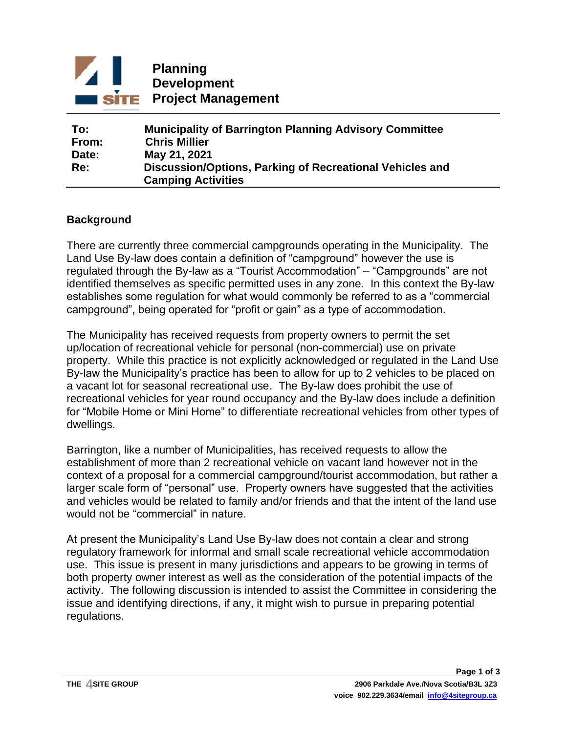

| To:   | <b>Municipality of Barrington Planning Advisory Committee</b> |
|-------|---------------------------------------------------------------|
| From: | <b>Chris Millier</b>                                          |
| Date: | May 21, 2021                                                  |
| Re:   | Discussion/Options, Parking of Recreational Vehicles and      |
|       | <b>Camping Activities</b>                                     |

### **Background**

There are currently three commercial campgrounds operating in the Municipality. The Land Use By-law does contain a definition of "campground" however the use is regulated through the By-law as a "Tourist Accommodation" – "Campgrounds" are not identified themselves as specific permitted uses in any zone. In this context the By-law establishes some regulation for what would commonly be referred to as a "commercial campground", being operated for "profit or gain" as a type of accommodation.

The Municipality has received requests from property owners to permit the set up/location of recreational vehicle for personal (non-commercial) use on private property. While this practice is not explicitly acknowledged or regulated in the Land Use By-law the Municipality's practice has been to allow for up to 2 vehicles to be placed on a vacant lot for seasonal recreational use. The By-law does prohibit the use of recreational vehicles for year round occupancy and the By-law does include a definition for "Mobile Home or Mini Home" to differentiate recreational vehicles from other types of dwellings.

Barrington, like a number of Municipalities, has received requests to allow the establishment of more than 2 recreational vehicle on vacant land however not in the context of a proposal for a commercial campground/tourist accommodation, but rather a larger scale form of "personal" use. Property owners have suggested that the activities and vehicles would be related to family and/or friends and that the intent of the land use would not be "commercial" in nature.

At present the Municipality's Land Use By-law does not contain a clear and strong regulatory framework for informal and small scale recreational vehicle accommodation use. This issue is present in many jurisdictions and appears to be growing in terms of both property owner interest as well as the consideration of the potential impacts of the activity. The following discussion is intended to assist the Committee in considering the issue and identifying directions, if any, it might wish to pursue in preparing potential regulations.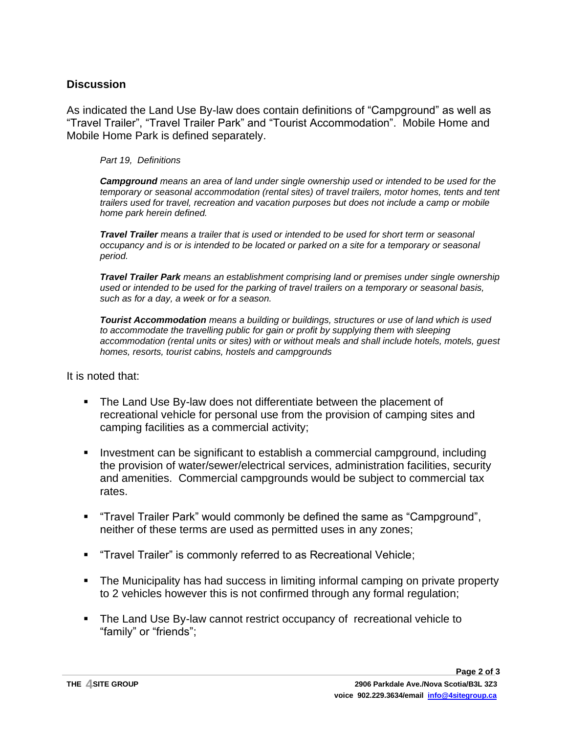### **Discussion**

As indicated the Land Use By-law does contain definitions of "Campground" as well as "Travel Trailer", "Travel Trailer Park" and "Tourist Accommodation". Mobile Home and Mobile Home Park is defined separately.

*Part 19, Definitions*

*Campground means an area of land under single ownership used or intended to be used for the temporary or seasonal accommodation (rental sites) of travel trailers, motor homes, tents and tent trailers used for travel, recreation and vacation purposes but does not include a camp or mobile home park herein defined.*

*Travel Trailer means a trailer that is used or intended to be used for short term or seasonal occupancy and is or is intended to be located or parked on a site for a temporary or seasonal period.*

*Travel Trailer Park means an establishment comprising land or premises under single ownership used or intended to be used for the parking of travel trailers on a temporary or seasonal basis, such as for a day, a week or for a season.*

*Tourist Accommodation means a building or buildings, structures or use of land which is used to accommodate the travelling public for gain or profit by supplying them with sleeping accommodation (rental units or sites) with or without meals and shall include hotels, motels, guest homes, resorts, tourist cabins, hostels and campgrounds*

It is noted that:

- The Land Use By-law does not differentiate between the placement of recreational vehicle for personal use from the provision of camping sites and camping facilities as a commercial activity;
- **EXEDENT** Investment can be significant to establish a commercial campground, including the provision of water/sewer/electrical services, administration facilities, security and amenities. Commercial campgrounds would be subject to commercial tax rates.
- "Travel Trailer Park" would commonly be defined the same as "Campground", neither of these terms are used as permitted uses in any zones;
- "Travel Trailer" is commonly referred to as Recreational Vehicle;
- The Municipality has had success in limiting informal camping on private property to 2 vehicles however this is not confirmed through any formal regulation;
- The Land Use By-law cannot restrict occupancy of recreational vehicle to "family" or "friends";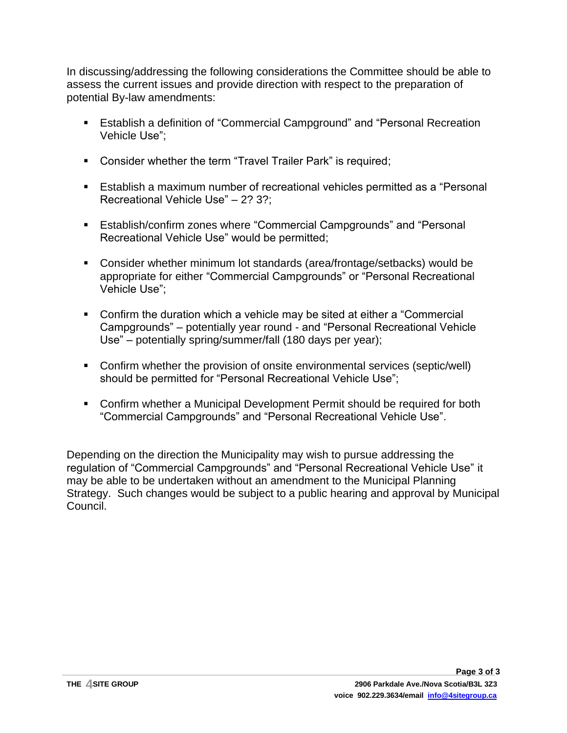In discussing/addressing the following considerations the Committee should be able to assess the current issues and provide direction with respect to the preparation of potential By-law amendments:

- Establish a definition of "Commercial Campground" and "Personal Recreation Vehicle Use";
- Consider whether the term "Travel Trailer Park" is required;
- Establish a maximum number of recreational vehicles permitted as a "Personal Recreational Vehicle Use" – 2? 3?;
- Establish/confirm zones where "Commercial Campgrounds" and "Personal Recreational Vehicle Use" would be permitted;
- Consider whether minimum lot standards (area/frontage/setbacks) would be appropriate for either "Commercial Campgrounds" or "Personal Recreational Vehicle Use";
- Confirm the duration which a vehicle may be sited at either a "Commercial Campgrounds" – potentially year round - and "Personal Recreational Vehicle Use" – potentially spring/summer/fall (180 days per year);
- Confirm whether the provision of onsite environmental services (septic/well) should be permitted for "Personal Recreational Vehicle Use";
- Confirm whether a Municipal Development Permit should be required for both "Commercial Campgrounds" and "Personal Recreational Vehicle Use".

Depending on the direction the Municipality may wish to pursue addressing the regulation of "Commercial Campgrounds" and "Personal Recreational Vehicle Use" it may be able to be undertaken without an amendment to the Municipal Planning Strategy. Such changes would be subject to a public hearing and approval by Municipal Council.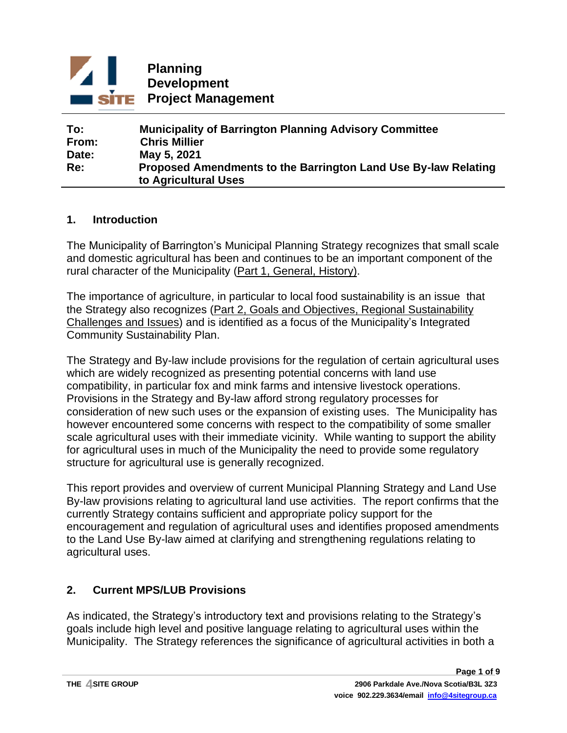

#### **To: Municipality of Barrington Planning Advisory Committee From: Chris Millier Date: May 5, 2021 Re: Proposed Amendments to the Barrington Land Use By-law Relating to Agricultural Uses**

### **1. Introduction**

The Municipality of Barrington's Municipal Planning Strategy recognizes that small scale and domestic agricultural has been and continues to be an important component of the rural character of the Municipality (Part 1, General, History).

The importance of agriculture, in particular to local food sustainability is an issue that the Strategy also recognizes (Part 2, Goals and Objectives, Regional Sustainability Challenges and Issues) and is identified as a focus of the Municipality's Integrated Community Sustainability Plan.

The Strategy and By-law include provisions for the regulation of certain agricultural uses which are widely recognized as presenting potential concerns with land use compatibility, in particular fox and mink farms and intensive livestock operations. Provisions in the Strategy and By-law afford strong regulatory processes for consideration of new such uses or the expansion of existing uses. The Municipality has however encountered some concerns with respect to the compatibility of some smaller scale agricultural uses with their immediate vicinity. While wanting to support the ability for agricultural uses in much of the Municipality the need to provide some regulatory structure for agricultural use is generally recognized.

This report provides and overview of current Municipal Planning Strategy and Land Use By-law provisions relating to agricultural land use activities. The report confirms that the currently Strategy contains sufficient and appropriate policy support for the encouragement and regulation of agricultural uses and identifies proposed amendments to the Land Use By-law aimed at clarifying and strengthening regulations relating to agricultural uses.

### **2. Current MPS/LUB Provisions**

As indicated, the Strategy's introductory text and provisions relating to the Strategy's goals include high level and positive language relating to agricultural uses within the Municipality. The Strategy references the significance of agricultural activities in both a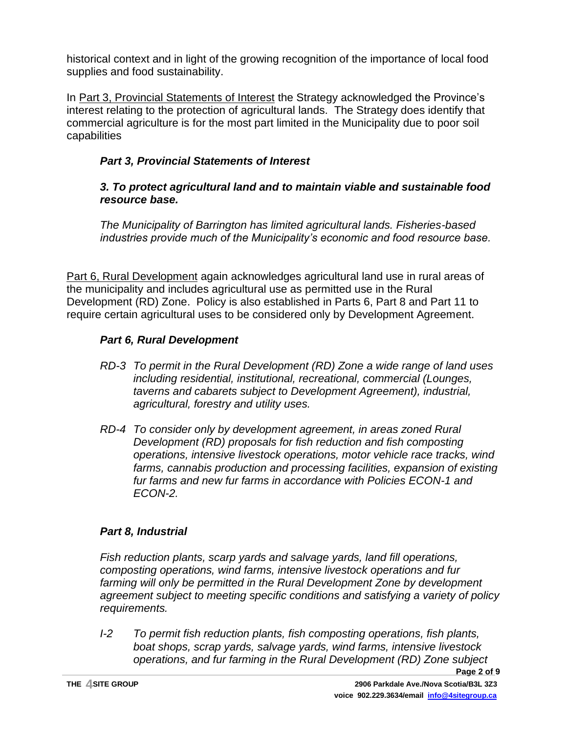historical context and in light of the growing recognition of the importance of local food supplies and food sustainability.

In Part 3, Provincial Statements of Interest the Strategy acknowledged the Province's interest relating to the protection of agricultural lands. The Strategy does identify that commercial agriculture is for the most part limited in the Municipality due to poor soil capabilities

# *Part 3, Provincial Statements of Interest*

# *3. To protect agricultural land and to maintain viable and sustainable food resource base.*

*The Municipality of Barrington has limited agricultural lands. Fisheries-based industries provide much of the Municipality's economic and food resource base.* 

Part 6, Rural Development again acknowledges agricultural land use in rural areas of the municipality and includes agricultural use as permitted use in the Rural Development (RD) Zone. Policy is also established in Parts 6, Part 8 and Part 11 to require certain agricultural uses to be considered only by Development Agreement.

# *Part 6, Rural Development*

- *RD-3 To permit in the Rural Development (RD) Zone a wide range of land uses including residential, institutional, recreational, commercial (Lounges, taverns and cabarets subject to Development Agreement), industrial, agricultural, forestry and utility uses.*
- *RD-4 To consider only by development agreement, in areas zoned Rural Development (RD) proposals for fish reduction and fish composting operations, intensive livestock operations, motor vehicle race tracks, wind*  farms, cannabis production and processing facilities, expansion of existing *fur farms and new fur farms in accordance with Policies ECON-1 and ECON-2.*

# *Part 8, Industrial*

*Fish reduction plants, scarp yards and salvage yards, land fill operations, composting operations, wind farms, intensive livestock operations and fur farming will only be permitted in the Rural Development Zone by development agreement subject to meeting specific conditions and satisfying a variety of policy requirements.*

*I-2 To permit fish reduction plants, fish composting operations, fish plants, boat shops, scrap yards, salvage yards, wind farms, intensive livestock operations, and fur farming in the Rural Development (RD) Zone subject*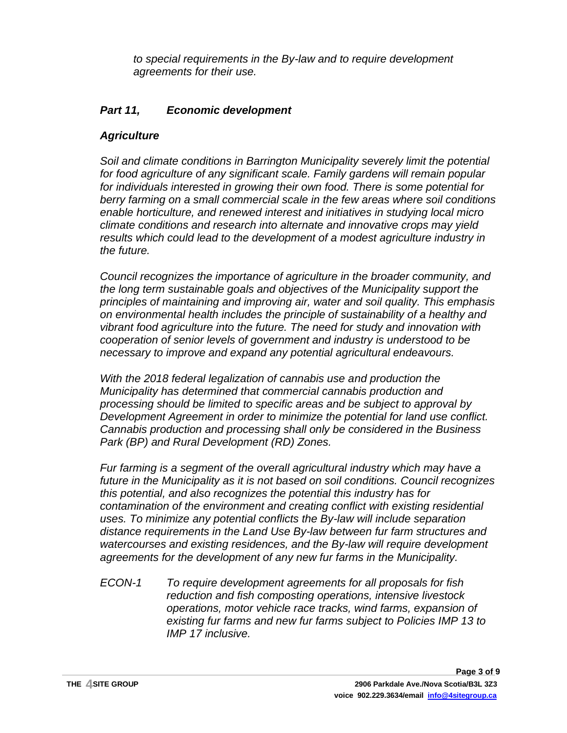*to special requirements in the By-law and to require development agreements for their use.*

# *Part 11, Economic development*

### *Agriculture*

*Soil and climate conditions in Barrington Municipality severely limit the potential for food agriculture of any significant scale. Family gardens will remain popular for individuals interested in growing their own food. There is some potential for berry farming on a small commercial scale in the few areas where soil conditions enable horticulture, and renewed interest and initiatives in studying local micro climate conditions and research into alternate and innovative crops may yield results which could lead to the development of a modest agriculture industry in the future.*

*Council recognizes the importance of agriculture in the broader community, and the long term sustainable goals and objectives of the Municipality support the principles of maintaining and improving air, water and soil quality. This emphasis on environmental health includes the principle of sustainability of a healthy and vibrant food agriculture into the future. The need for study and innovation with cooperation of senior levels of government and industry is understood to be necessary to improve and expand any potential agricultural endeavours.*

*With the 2018 federal legalization of cannabis use and production the Municipality has determined that commercial cannabis production and processing should be limited to specific areas and be subject to approval by Development Agreement in order to minimize the potential for land use conflict. Cannabis production and processing shall only be considered in the Business Park (BP) and Rural Development (RD) Zones.*

*Fur farming is a segment of the overall agricultural industry which may have a future in the Municipality as it is not based on soil conditions. Council recognizes this potential, and also recognizes the potential this industry has for contamination of the environment and creating conflict with existing residential uses. To minimize any potential conflicts the By-law will include separation distance requirements in the Land Use By-law between fur farm structures and watercourses and existing residences, and the By-law will require development agreements for the development of any new fur farms in the Municipality.*

*ECON-1 To require development agreements for all proposals for fish reduction and fish composting operations, intensive livestock operations, motor vehicle race tracks, wind farms, expansion of existing fur farms and new fur farms subject to Policies IMP 13 to IMP 17 inclusive.*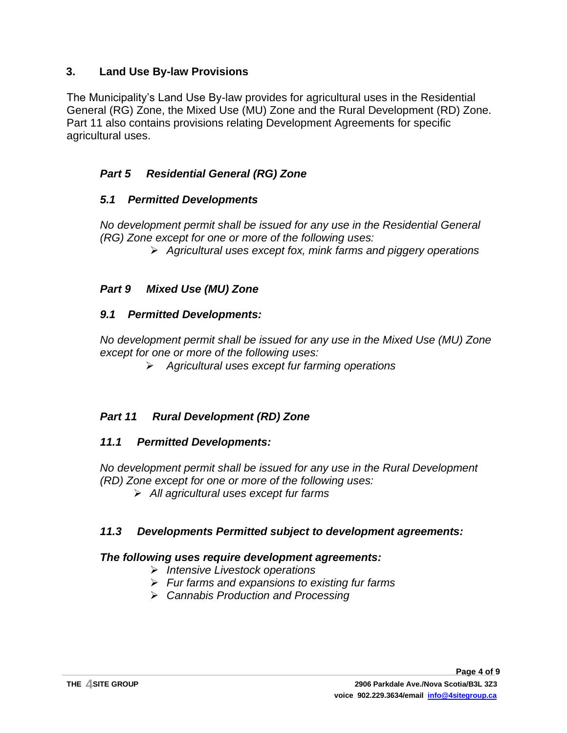# **3. Land Use By-law Provisions**

The Municipality's Land Use By-law provides for agricultural uses in the Residential General (RG) Zone, the Mixed Use (MU) Zone and the Rural Development (RD) Zone. Part 11 also contains provisions relating Development Agreements for specific agricultural uses.

# *Part 5 Residential General (RG) Zone*

### *5.1 Permitted Developments*

*No development permit shall be issued for any use in the Residential General (RG) Zone except for one or more of the following uses:*

➢ *Agricultural uses except fox, mink farms and piggery operations*

# *Part 9 Mixed Use (MU) Zone*

### *9.1 Permitted Developments:*

*No development permit shall be issued for any use in the Mixed Use (MU) Zone except for one or more of the following uses:*

➢ *Agricultural uses except fur farming operations*

# *Part 11 Rural Development (RD) Zone*

### *11.1 Permitted Developments:*

*No development permit shall be issued for any use in the Rural Development (RD) Zone except for one or more of the following uses:*

➢ *All agricultural uses except fur farms*

# *11.3 Developments Permitted subject to development agreements:*

# *The following uses require development agreements:*

- ➢ *Intensive Livestock operations*
- ➢ *Fur farms and expansions to existing fur farms*
- ➢ *Cannabis Production and Processing*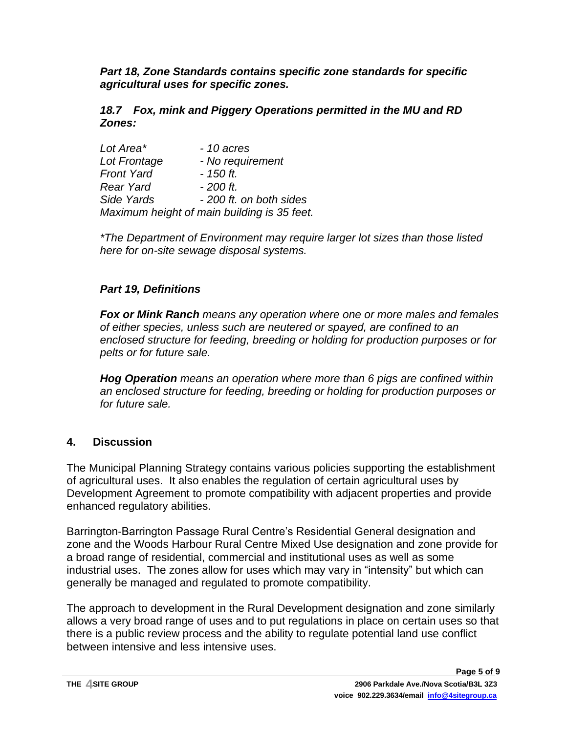*Part 18, Zone Standards contains specific zone standards for specific agricultural uses for specific zones.*

*18.7 Fox, mink and Piggery Operations permitted in the MU and RD Zones:*

| Lot Area*         | $-10$ acres                                 |
|-------------------|---------------------------------------------|
| Lot Frontage      | - No requirement                            |
| <b>Front Yard</b> | $-150$ ft.                                  |
| Rear Yard         | $-200$ ft.                                  |
| Side Yards        | - 200 ft. on both sides                     |
|                   | Maximum height of main building is 35 feet. |

*\*The Department of Environment may require larger lot sizes than those listed here for on-site sewage disposal systems.*

# *Part 19, Definitions*

*Fox or Mink Ranch means any operation where one or more males and females of either species, unless such are neutered or spayed, are confined to an enclosed structure for feeding, breeding or holding for production purposes or for pelts or for future sale.*

*Hog Operation means an operation where more than 6 pigs are confined within an enclosed structure for feeding, breeding or holding for production purposes or for future sale.*

# **4. Discussion**

The Municipal Planning Strategy contains various policies supporting the establishment of agricultural uses. It also enables the regulation of certain agricultural uses by Development Agreement to promote compatibility with adjacent properties and provide enhanced regulatory abilities.

Barrington-Barrington Passage Rural Centre's Residential General designation and zone and the Woods Harbour Rural Centre Mixed Use designation and zone provide for a broad range of residential, commercial and institutional uses as well as some industrial uses. The zones allow for uses which may vary in "intensity" but which can generally be managed and regulated to promote compatibility.

The approach to development in the Rural Development designation and zone similarly allows a very broad range of uses and to put regulations in place on certain uses so that there is a public review process and the ability to regulate potential land use conflict between intensive and less intensive uses.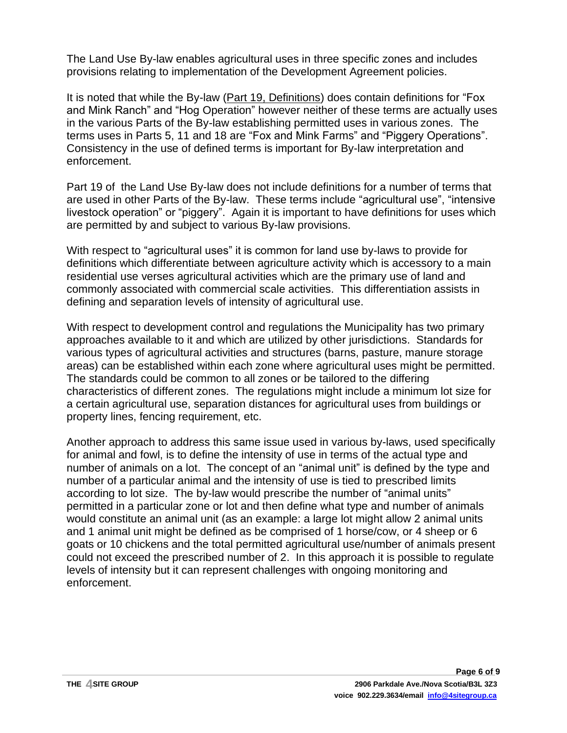The Land Use By-law enables agricultural uses in three specific zones and includes provisions relating to implementation of the Development Agreement policies.

It is noted that while the By-law (Part 19, Definitions) does contain definitions for "Fox and Mink Ranch" and "Hog Operation" however neither of these terms are actually uses in the various Parts of the By-law establishing permitted uses in various zones. The terms uses in Parts 5, 11 and 18 are "Fox and Mink Farms" and "Piggery Operations". Consistency in the use of defined terms is important for By-law interpretation and enforcement.

Part 19 of the Land Use By-law does not include definitions for a number of terms that are used in other Parts of the By-law. These terms include "agricultural use", "intensive livestock operation" or "piggery". Again it is important to have definitions for uses which are permitted by and subject to various By-law provisions.

With respect to "agricultural uses" it is common for land use by-laws to provide for definitions which differentiate between agriculture activity which is accessory to a main residential use verses agricultural activities which are the primary use of land and commonly associated with commercial scale activities. This differentiation assists in defining and separation levels of intensity of agricultural use.

With respect to development control and regulations the Municipality has two primary approaches available to it and which are utilized by other jurisdictions. Standards for various types of agricultural activities and structures (barns, pasture, manure storage areas) can be established within each zone where agricultural uses might be permitted. The standards could be common to all zones or be tailored to the differing characteristics of different zones. The regulations might include a minimum lot size for a certain agricultural use, separation distances for agricultural uses from buildings or property lines, fencing requirement, etc.

Another approach to address this same issue used in various by-laws, used specifically for animal and fowl, is to define the intensity of use in terms of the actual type and number of animals on a lot. The concept of an "animal unit" is defined by the type and number of a particular animal and the intensity of use is tied to prescribed limits according to lot size. The by-law would prescribe the number of "animal units" permitted in a particular zone or lot and then define what type and number of animals would constitute an animal unit (as an example: a large lot might allow 2 animal units and 1 animal unit might be defined as be comprised of 1 horse/cow, or 4 sheep or 6 goats or 10 chickens and the total permitted agricultural use/number of animals present could not exceed the prescribed number of 2. In this approach it is possible to regulate levels of intensity but it can represent challenges with ongoing monitoring and enforcement.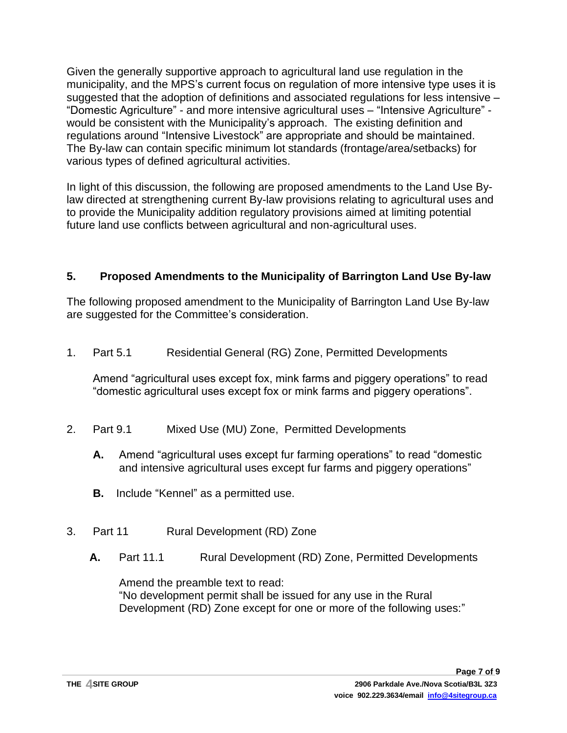Given the generally supportive approach to agricultural land use regulation in the municipality, and the MPS's current focus on regulation of more intensive type uses it is suggested that the adoption of definitions and associated regulations for less intensive – "Domestic Agriculture" - and more intensive agricultural uses – "Intensive Agriculture" would be consistent with the Municipality's approach. The existing definition and regulations around "Intensive Livestock" are appropriate and should be maintained. The By-law can contain specific minimum lot standards (frontage/area/setbacks) for various types of defined agricultural activities.

In light of this discussion, the following are proposed amendments to the Land Use Bylaw directed at strengthening current By-law provisions relating to agricultural uses and to provide the Municipality addition regulatory provisions aimed at limiting potential future land use conflicts between agricultural and non-agricultural uses.

# **5. Proposed Amendments to the Municipality of Barrington Land Use By-law**

The following proposed amendment to the Municipality of Barrington Land Use By-law are suggested for the Committee's consideration.

1. Part 5.1 Residential General (RG) Zone, Permitted Developments

Amend "agricultural uses except fox, mink farms and piggery operations" to read "domestic agricultural uses except fox or mink farms and piggery operations".

- 2. Part 9.1 Mixed Use (MU) Zone, Permitted Developments
	- **A.** Amend "agricultural uses except fur farming operations" to read "domestic and intensive agricultural uses except fur farms and piggery operations"
	- **B.** Include "Kennel" as a permitted use.
- 3. Part 11 Rural Development (RD) Zone
	- **A.** Part 11.1 Rural Development (RD) Zone, Permitted Developments

Amend the preamble text to read: "No development permit shall be issued for any use in the Rural Development (RD) Zone except for one or more of the following uses:"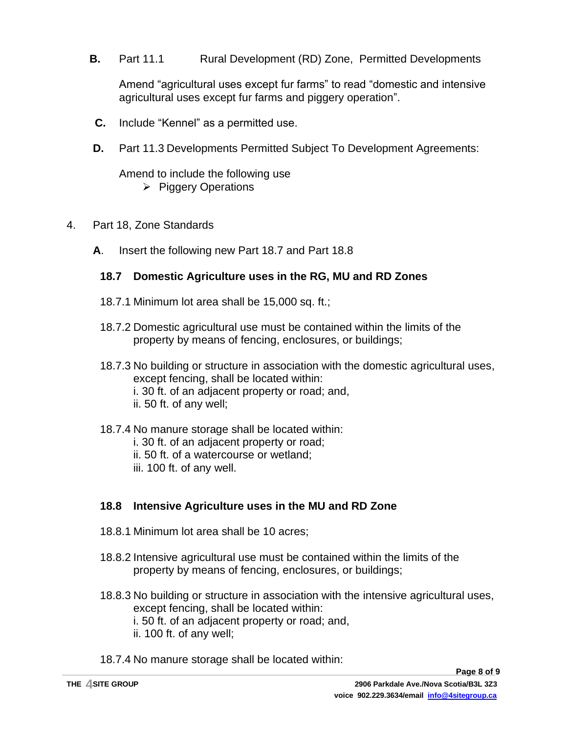**B.** Part 11.1 Rural Development (RD) Zone, Permitted Developments

Amend "agricultural uses except fur farms" to read "domestic and intensive agricultural uses except fur farms and piggery operation".

- **C.** Include "Kennel" as a permitted use.
- **D.** Part 11.3 Developments Permitted Subject To Development Agreements:

Amend to include the following use ➢ Piggery Operations

- 4. Part 18, Zone Standards
	- **A**. Insert the following new Part 18.7 and Part 18.8

#### **18.7 Domestic Agriculture uses in the RG, MU and RD Zones**

- 18.7.1 Minimum lot area shall be 15,000 sq. ft.;
- 18.7.2 Domestic agricultural use must be contained within the limits of the property by means of fencing, enclosures, or buildings;
- 18.7.3 No building or structure in association with the domestic agricultural uses, except fencing, shall be located within: i. 30 ft. of an adjacent property or road; and, ii. 50 ft. of any well;
- 18.7.4 No manure storage shall be located within: i. 30 ft. of an adjacent property or road; ii. 50 ft. of a watercourse or wetland; iii. 100 ft. of any well.

# **18.8 Intensive Agriculture uses in the MU and RD Zone**

- 18.8.1 Minimum lot area shall be 10 acres;
- 18.8.2 Intensive agricultural use must be contained within the limits of the property by means of fencing, enclosures, or buildings;
- 18.8.3 No building or structure in association with the intensive agricultural uses, except fencing, shall be located within: i. 50 ft. of an adjacent property or road; and,
	- ii. 100 ft. of any well;
- 18.7.4 No manure storage shall be located within: